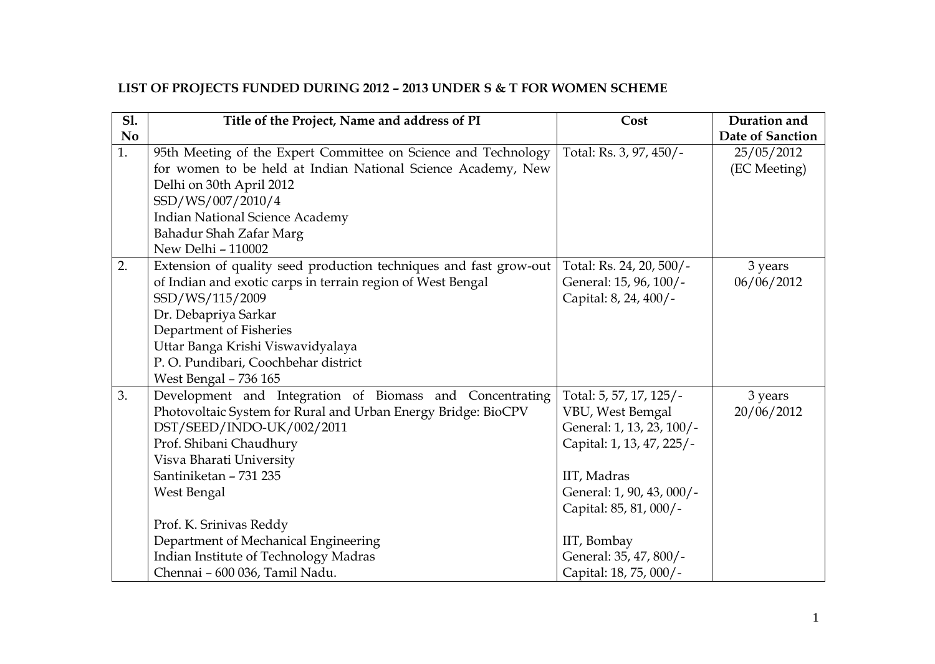## **LIST OF PROJECTS FUNDED DURING 2012 – 2013 UNDER S & T FOR WOMEN SCHEME**

| <b>S1.</b> | Title of the Project, Name and address of PI                      | Cost                      | Duration and     |
|------------|-------------------------------------------------------------------|---------------------------|------------------|
| <b>No</b>  |                                                                   |                           | Date of Sanction |
| 1.         | 95th Meeting of the Expert Committee on Science and Technology    | Total: Rs. 3, 97, 450/-   | 25/05/2012       |
|            | for women to be held at Indian National Science Academy, New      |                           | (EC Meeting)     |
|            | Delhi on 30th April 2012                                          |                           |                  |
|            | SSD/WS/007/2010/4                                                 |                           |                  |
|            | <b>Indian National Science Academy</b>                            |                           |                  |
|            | Bahadur Shah Zafar Marg                                           |                           |                  |
|            | New Delhi - 110002                                                |                           |                  |
| 2.         | Extension of quality seed production techniques and fast grow-out | Total: Rs. 24, 20, 500/-  | 3 years          |
|            | of Indian and exotic carps in terrain region of West Bengal       | General: 15, 96, 100/-    | 06/06/2012       |
|            | SSD/WS/115/2009                                                   | Capital: 8, 24, 400/-     |                  |
|            | Dr. Debapriya Sarkar                                              |                           |                  |
|            | Department of Fisheries                                           |                           |                  |
|            | Uttar Banga Krishi Viswavidyalaya                                 |                           |                  |
|            | P.O. Pundibari, Coochbehar district                               |                           |                  |
|            | <b>West Bengal - 736 165</b>                                      |                           |                  |
| 3.         | Development and Integration of Biomass and Concentrating          | Total: 5, 57, 17, 125/-   | 3 years          |
|            | Photovoltaic System for Rural and Urban Energy Bridge: BioCPV     | VBU, West Bemgal          | 20/06/2012       |
|            | DST/SEED/INDO-UK/002/2011                                         | General: 1, 13, 23, 100/- |                  |
|            | Prof. Shibani Chaudhury                                           | Capital: 1, 13, 47, 225/- |                  |
|            | Visva Bharati University                                          |                           |                  |
|            | Santiniketan - 731 235                                            | IIT, Madras               |                  |
|            | West Bengal                                                       | General: 1, 90, 43, 000/- |                  |
|            |                                                                   | Capital: 85, 81, 000/-    |                  |
|            | Prof. K. Srinivas Reddy                                           |                           |                  |
|            | Department of Mechanical Engineering                              | IIT, Bombay               |                  |
|            | Indian Institute of Technology Madras                             | General: 35, 47, 800/-    |                  |
|            | Chennai - 600 036, Tamil Nadu.                                    | Capital: 18, 75, 000/-    |                  |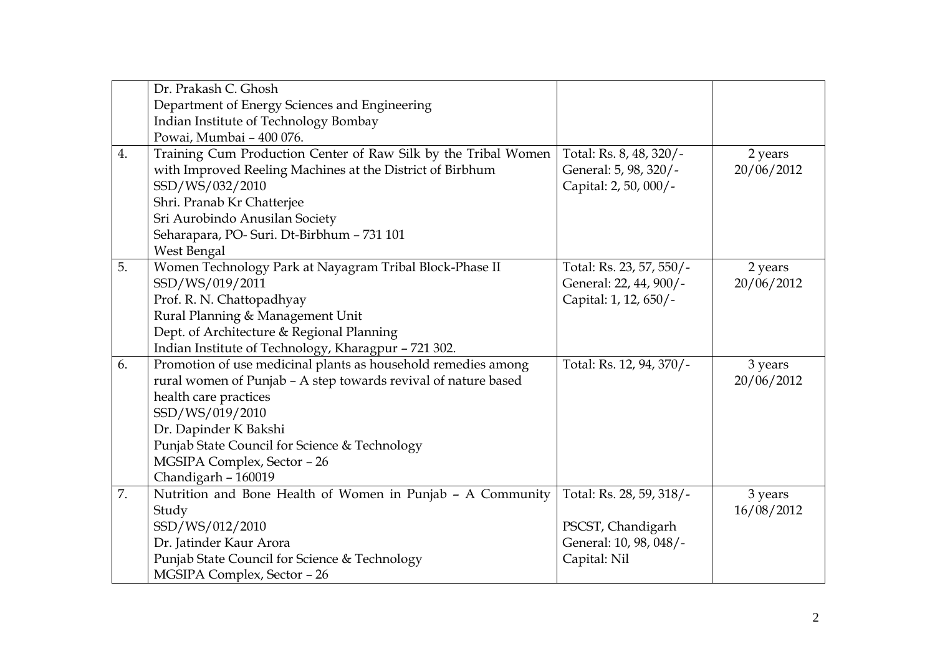|    | Dr. Prakash C. Ghosh                                           |                          |            |
|----|----------------------------------------------------------------|--------------------------|------------|
|    | Department of Energy Sciences and Engineering                  |                          |            |
|    | Indian Institute of Technology Bombay                          |                          |            |
|    | Powai, Mumbai - 400 076.                                       |                          |            |
| 4. | Training Cum Production Center of Raw Silk by the Tribal Women | Total: Rs. 8, 48, 320/-  | 2 years    |
|    | with Improved Reeling Machines at the District of Birbhum      | General: 5, 98, 320/-    | 20/06/2012 |
|    | SSD/WS/032/2010                                                | Capital: 2, 50, 000/-    |            |
|    | Shri. Pranab Kr Chatterjee                                     |                          |            |
|    | Sri Aurobindo Anusilan Society                                 |                          |            |
|    | Seharapara, PO-Suri. Dt-Birbhum - 731 101                      |                          |            |
|    | West Bengal                                                    |                          |            |
| 5. | Women Technology Park at Nayagram Tribal Block-Phase II        | Total: Rs. 23, 57, 550/- | 2 years    |
|    | SSD/WS/019/2011                                                | General: 22, 44, 900/-   | 20/06/2012 |
|    | Prof. R. N. Chattopadhyay                                      | Capital: 1, 12, 650/-    |            |
|    | Rural Planning & Management Unit                               |                          |            |
|    | Dept. of Architecture & Regional Planning                      |                          |            |
|    | Indian Institute of Technology, Kharagpur - 721 302.           |                          |            |
| 6. | Promotion of use medicinal plants as household remedies among  | Total: Rs. 12, 94, 370/- | 3 years    |
|    | rural women of Punjab - A step towards revival of nature based |                          | 20/06/2012 |
|    | health care practices                                          |                          |            |
|    | SSD/WS/019/2010                                                |                          |            |
|    | Dr. Dapinder K Bakshi                                          |                          |            |
|    | Punjab State Council for Science & Technology                  |                          |            |
|    | MGSIPA Complex, Sector - 26                                    |                          |            |
|    | Chandigarh - 160019                                            |                          |            |
| 7. | Nutrition and Bone Health of Women in Punjab - A Community     | Total: Rs. 28, 59, 318/- | 3 years    |
|    | Study                                                          |                          | 16/08/2012 |
|    | SSD/WS/012/2010                                                | PSCST, Chandigarh        |            |
|    | Dr. Jatinder Kaur Arora                                        | General: 10, 98, 048/-   |            |
|    | Punjab State Council for Science & Technology                  | Capital: Nil             |            |
|    | MGSIPA Complex, Sector - 26                                    |                          |            |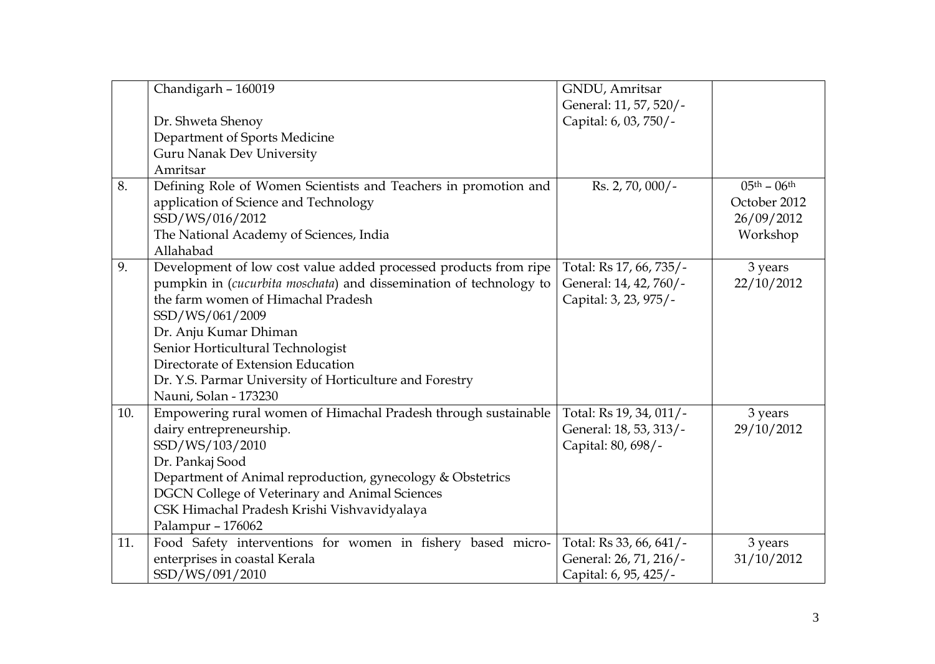|     | Chandigarh - 160019                                                | GNDU, Amritsar          |                                   |
|-----|--------------------------------------------------------------------|-------------------------|-----------------------------------|
|     |                                                                    | General: 11, 57, 520/-  |                                   |
|     | Dr. Shweta Shenoy                                                  | Capital: 6, 03, 750/-   |                                   |
|     | Department of Sports Medicine                                      |                         |                                   |
|     | <b>Guru Nanak Dev University</b>                                   |                         |                                   |
|     | Amritsar                                                           |                         |                                   |
| 8.  | Defining Role of Women Scientists and Teachers in promotion and    | Rs. 2, 70, 000/-        | $05^{\text{th}} - 06^{\text{th}}$ |
|     | application of Science and Technology                              |                         | October 2012                      |
|     | SSD/WS/016/2012                                                    |                         | 26/09/2012                        |
|     | The National Academy of Sciences, India                            |                         | Workshop                          |
|     | Allahabad                                                          |                         |                                   |
| 9.  | Development of low cost value added processed products from ripe   | Total: Rs 17, 66, 735/- | 3 years                           |
|     | pumpkin in (cucurbita moschata) and dissemination of technology to | General: 14, 42, 760/-  | 22/10/2012                        |
|     | the farm women of Himachal Pradesh                                 | Capital: 3, 23, 975/-   |                                   |
|     | SSD/WS/061/2009                                                    |                         |                                   |
|     | Dr. Anju Kumar Dhiman                                              |                         |                                   |
|     | Senior Horticultural Technologist                                  |                         |                                   |
|     | Directorate of Extension Education                                 |                         |                                   |
|     | Dr. Y.S. Parmar University of Horticulture and Forestry            |                         |                                   |
|     | Nauni, Solan - 173230                                              |                         |                                   |
| 10. | Empowering rural women of Himachal Pradesh through sustainable     | Total: Rs 19, 34, 011/- | 3 years                           |
|     | dairy entrepreneurship.                                            | General: 18, 53, 313/-  | 29/10/2012                        |
|     | SSD/WS/103/2010                                                    | Capital: 80, 698/-      |                                   |
|     | Dr. Pankaj Sood                                                    |                         |                                   |
|     | Department of Animal reproduction, gynecology & Obstetrics         |                         |                                   |
|     | <b>DGCN College of Veterinary and Animal Sciences</b>              |                         |                                   |
|     | CSK Himachal Pradesh Krishi Vishvavidyalaya                        |                         |                                   |
|     | Palampur - 176062                                                  |                         |                                   |
| 11. | Food Safety interventions for women in fishery based micro-        | Total: Rs 33, 66, 641/- | 3 years                           |
|     | enterprises in coastal Kerala                                      | General: 26, 71, 216/-  | 31/10/2012                        |
|     | SSD/WS/091/2010                                                    | Capital: 6, 95, 425/-   |                                   |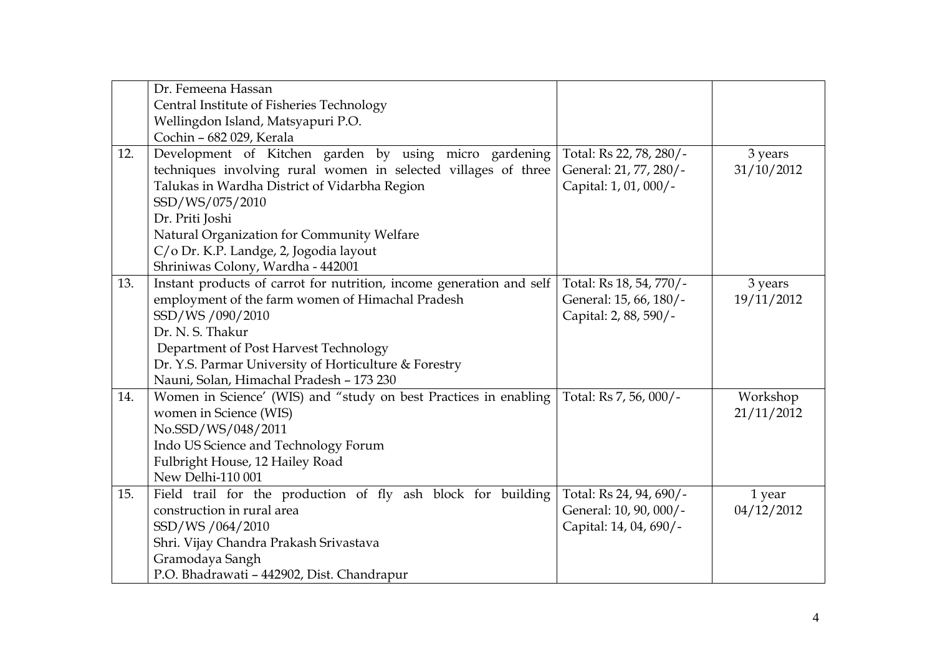|     | Dr. Femeena Hassan                                                   |                         |            |
|-----|----------------------------------------------------------------------|-------------------------|------------|
|     | Central Institute of Fisheries Technology                            |                         |            |
|     | Wellingdon Island, Matsyapuri P.O.                                   |                         |            |
|     | Cochin - 682 029, Kerala                                             |                         |            |
| 12. | Development of Kitchen garden by using micro gardening               | Total: Rs 22, 78, 280/- | 3 years    |
|     | techniques involving rural women in selected villages of three       | General: 21, 77, 280/-  | 31/10/2012 |
|     | Talukas in Wardha District of Vidarbha Region                        | Capital: 1, 01, 000/-   |            |
|     | SSD/WS/075/2010                                                      |                         |            |
|     | Dr. Priti Joshi                                                      |                         |            |
|     | Natural Organization for Community Welfare                           |                         |            |
|     | C/o Dr. K.P. Landge, 2, Jogodia layout                               |                         |            |
|     | Shriniwas Colony, Wardha - 442001                                    |                         |            |
| 13. | Instant products of carrot for nutrition, income generation and self | Total: Rs 18, 54, 770/- | 3 years    |
|     | employment of the farm women of Himachal Pradesh                     | General: 15, 66, 180/-  | 19/11/2012 |
|     | SSD/WS/090/2010                                                      | Capital: 2, 88, 590/-   |            |
|     | Dr. N. S. Thakur                                                     |                         |            |
|     | Department of Post Harvest Technology                                |                         |            |
|     | Dr. Y.S. Parmar University of Horticulture & Forestry                |                         |            |
|     | Nauni, Solan, Himachal Pradesh - 173 230                             |                         |            |
| 14. | Women in Science' (WIS) and "study on best Practices in enabling     | Total: Rs 7, 56, 000/-  | Workshop   |
|     | women in Science (WIS)                                               |                         | 21/11/2012 |
|     | No.SSD/WS/048/2011                                                   |                         |            |
|     | Indo US Science and Technology Forum                                 |                         |            |
|     | Fulbright House, 12 Hailey Road                                      |                         |            |
|     | New Delhi-110 001                                                    |                         |            |
| 15. | Field trail for the production of fly ash block for building         | Total: Rs 24, 94, 690/- | 1 year     |
|     | construction in rural area                                           | General: 10, 90, 000/-  | 04/12/2012 |
|     | SSD/WS/064/2010                                                      | Capital: 14, 04, 690/-  |            |
|     | Shri. Vijay Chandra Prakash Srivastava                               |                         |            |
|     | Gramodaya Sangh                                                      |                         |            |
|     | P.O. Bhadrawati - 442902, Dist. Chandrapur                           |                         |            |